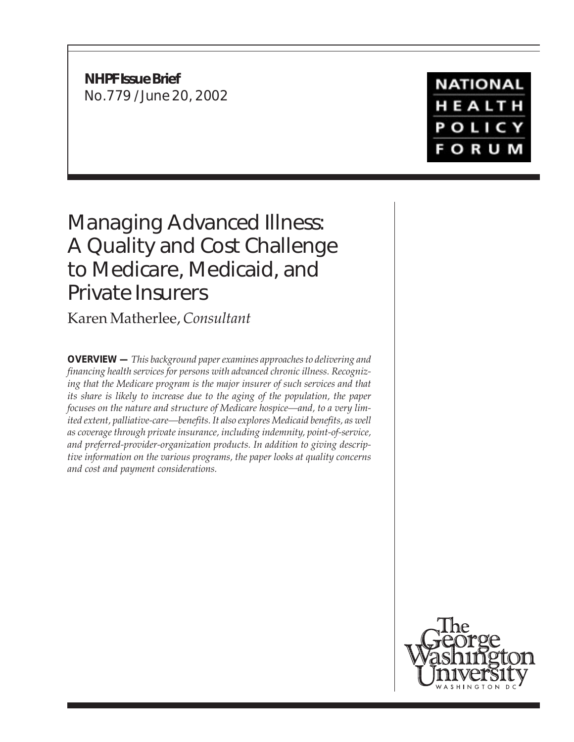**NHPF Issue Brief** No.779 / June 20, 2002 **NATIONAL** HEALTH **POLICY FORUM** 

# Managing Advanced Illness: A Quality and Cost Challenge to Medicare, Medicaid, and Private Insurers

Karen Matherlee, *Consultant*

**OVERVIEW —** *This background paper examines approaches to delivering and financing health services for persons with advanced chronic illness. Recognizing that the Medicare program is the major insurer of such services and that its share is likely to increase due to the aging of the population, the paper focuses on the nature and structure of Medicare hospice—and, to a very limited extent, palliative-care—benefits. It also explores Medicaid benefits, as well as coverage through private insurance, including indemnity, point-of-service, and preferred-provider-organization products. In addition to giving descriptive information on the various programs, the paper looks at quality concerns and cost and payment considerations.*

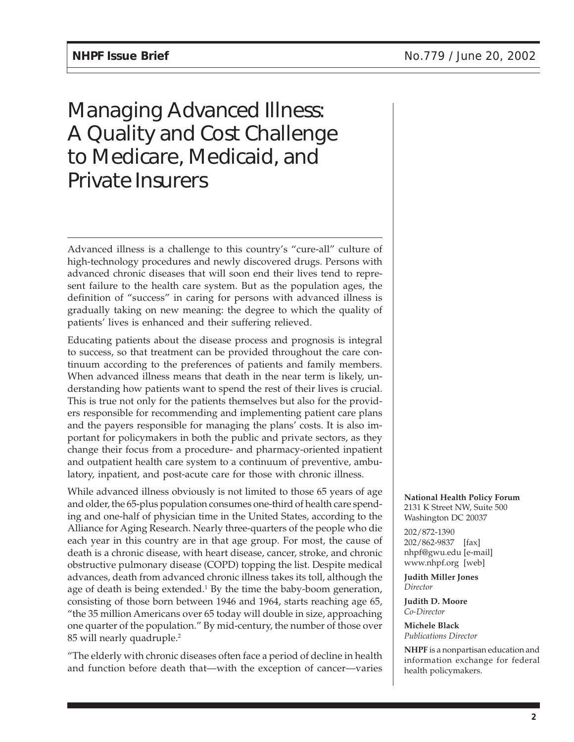# Managing Advanced Illness: A Quality and Cost Challenge to Medicare, Medicaid, and Private Insurers

Advanced illness is a challenge to this country's "cure-all" culture of high-technology procedures and newly discovered drugs. Persons with advanced chronic diseases that will soon end their lives tend to represent failure to the health care system. But as the population ages, the definition of "success" in caring for persons with advanced illness is gradually taking on new meaning: the degree to which the quality of patients' lives is enhanced and their suffering relieved.

Educating patients about the disease process and prognosis is integral to success, so that treatment can be provided throughout the care continuum according to the preferences of patients and family members. When advanced illness means that death in the near term is likely, understanding how patients want to spend the rest of their lives is crucial. This is true not only for the patients themselves but also for the providers responsible for recommending and implementing patient care plans and the payers responsible for managing the plans' costs. It is also important for policymakers in both the public and private sectors, as they change their focus from a procedure- and pharmacy-oriented inpatient and outpatient health care system to a continuum of preventive, ambulatory, inpatient, and post-acute care for those with chronic illness.

While advanced illness obviously is not limited to those 65 years of age and older, the 65-plus population consumes one-third of health care spending and one-half of physician time in the United States, according to the Alliance for Aging Research. Nearly three-quarters of the people who die each year in this country are in that age group. For most, the cause of death is a chronic disease, with heart disease, cancer, stroke, and chronic obstructive pulmonary disease (COPD) topping the list. Despite medical advances, death from advanced chronic illness takes its toll, although the age of death is being extended.<sup>1</sup> By the time the baby-boom generation, consisting of those born between 1946 and 1964, starts reaching age 65, "the 35 million Americans over 65 today will double in size, approaching one quarter of the population." By mid-century, the number of those over 85 will nearly quadruple.2

"The elderly with chronic diseases often face a period of decline in health and function before death that—with the exception of cancer—varies

**National Health Policy Forum** 2131 K Street NW, Suite 500 Washington DC 20037

202/872-1390 202/862-9837 [fax] nhpf@gwu.edu [e-mail] www.nhpf.org [web]

**Judith Miller Jones** *Director*

**Judith D. Moore** *Co-Director*

**Michele Black** *Publications Director*

**NHPF** is a nonpartisan education and information exchange for federal health policymakers.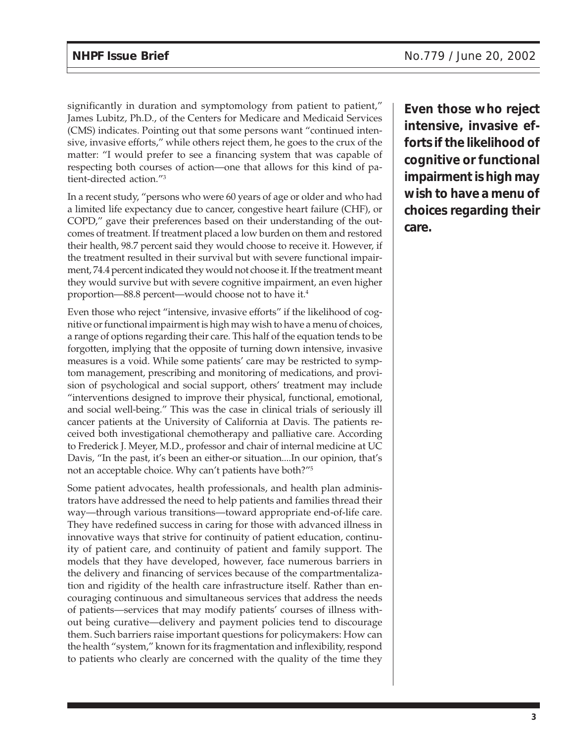significantly in duration and symptomology from patient to patient," James Lubitz, Ph.D., of the Centers for Medicare and Medicaid Services (CMS) indicates. Pointing out that some persons want "continued intensive, invasive efforts," while others reject them, he goes to the crux of the matter: "I would prefer to see a financing system that was capable of respecting both courses of action—one that allows for this kind of patient-directed action."3

In a recent study, "persons who were 60 years of age or older and who had a limited life expectancy due to cancer, congestive heart failure (CHF), or COPD," gave their preferences based on their understanding of the outcomes of treatment. If treatment placed a low burden on them and restored their health, 98.7 percent said they would choose to receive it. However, if the treatment resulted in their survival but with severe functional impairment, 74.4 percent indicated they would not choose it. If the treatment meant they would survive but with severe cognitive impairment, an even higher proportion—88.8 percent—would choose not to have it.<sup>4</sup>

Even those who reject "intensive, invasive efforts" if the likelihood of cognitive or functional impairment is high may wish to have a menu of choices, a range of options regarding their care. This half of the equation tends to be forgotten, implying that the opposite of turning down intensive, invasive measures is a void. While some patients' care may be restricted to symptom management, prescribing and monitoring of medications, and provision of psychological and social support, others' treatment may include "interventions designed to improve their physical, functional, emotional, and social well-being." This was the case in clinical trials of seriously ill cancer patients at the University of California at Davis. The patients received both investigational chemotherapy and palliative care. According to Frederick J. Meyer, M.D., professor and chair of internal medicine at UC Davis, "In the past, it's been an either-or situation....In our opinion, that's not an acceptable choice. Why can't patients have both?"5

Some patient advocates, health professionals, and health plan administrators have addressed the need to help patients and families thread their way—through various transitions—toward appropriate end-of-life care. They have redefined success in caring for those with advanced illness in innovative ways that strive for continuity of patient education, continuity of patient care, and continuity of patient and family support. The models that they have developed, however, face numerous barriers in the delivery and financing of services because of the compartmentalization and rigidity of the health care infrastructure itself. Rather than encouraging continuous and simultaneous services that address the needs of patients—services that may modify patients' courses of illness without being curative—delivery and payment policies tend to discourage them. Such barriers raise important questions for policymakers: How can the health "system," known for its fragmentation and inflexibility, respond to patients who clearly are concerned with the quality of the time they

**Even those who reject intensive, invasive efforts if the likelihood of cognitive or functional impairment is high may wish to have a menu of choices regarding their care.**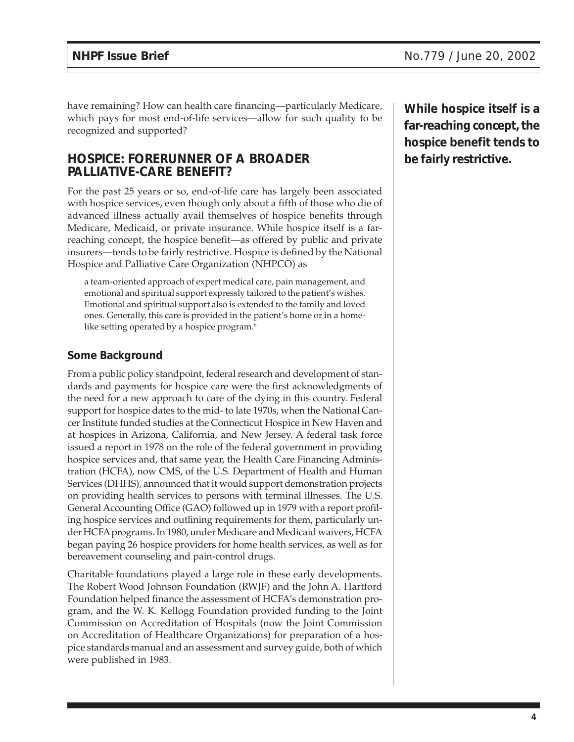have remaining? How can health care financing—particularly Medicare, which pays for most end-of-life services—allow for such quality to be recognized and supported?

## **HOSPICE: FORERUNNER OF A BROADER PALLIATIVE-CARE BENEFIT?**

For the past 25 years or so, end-of-life care has largely been associated with hospice services, even though only about a fifth of those who die of advanced illness actually avail themselves of hospice benefits through Medicare, Medicaid, or private insurance. While hospice itself is a farreaching concept, the hospice benefit—as offered by public and private insurers—tends to be fairly restrictive. Hospice is defined by the National Hospice and Palliative Care Organization (NHPCO) as

a team-oriented approach of expert medical care, pain management, and emotional and spiritual support expressly tailored to the patient's wishes. Emotional and spiritual support also is extended to the family and loved ones. Generally, this care is provided in the patient's home or in a homelike setting operated by a hospice program.<sup>6</sup>

### **Some Background**

From a public policy standpoint, federal research and development of standards and payments for hospice care were the first acknowledgments of the need for a new approach to care of the dying in this country. Federal support for hospice dates to the mid- to late 1970s, when the National Cancer Institute funded studies at the Connecticut Hospice in New Haven and at hospices in Arizona, California, and New Jersey. A federal task force issued a report in 1978 on the role of the federal government in providing hospice services and, that same year, the Health Care Financing Administration (HCFA), now CMS, of the U.S. Department of Health and Human Services (DHHS), announced that it would support demonstration projects on providing health services to persons with terminal illnesses. The U.S. General Accounting Office (GAO) followed up in 1979 with a report profiling hospice services and outlining requirements for them, particularly under HCFA programs. In 1980, under Medicare and Medicaid waivers, HCFA began paying 26 hospice providers for home health services, as well as for bereavement counseling and pain-control drugs.

Charitable foundations played a large role in these early developments. The Robert Wood Johnson Foundation (RWJF) and the John A. Hartford Foundation helped finance the assessment of HCFA's demonstration program, and the W. K. Kellogg Foundation provided funding to the Joint Commission on Accreditation of Hospitals (now the Joint Commission on Accreditation of Healthcare Organizations) for preparation of a hospice standards manual and an assessment and survey guide, both of which were published in 1983.

**While hospice itself is a far-reaching concept, the hospice benefit tends to be fairly restrictive.**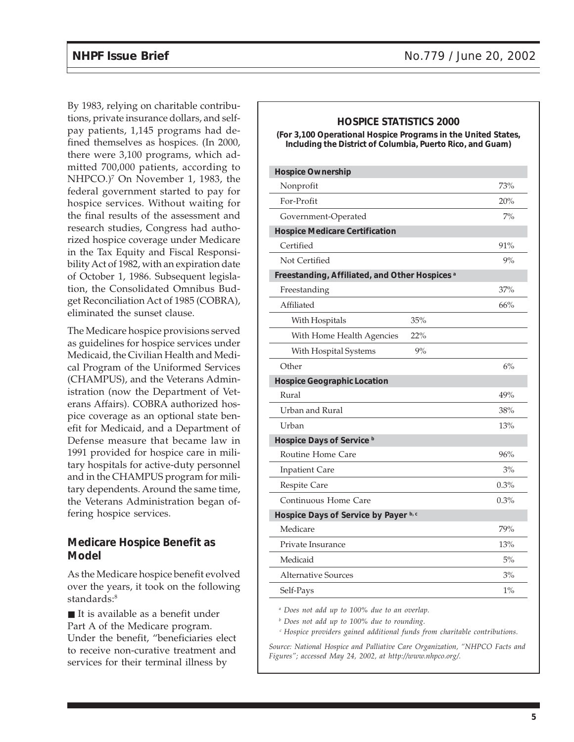By 1983, relying on charitable contributions, private insurance dollars, and selfpay patients, 1,145 programs had defined themselves as hospices. (In 2000, there were 3,100 programs, which admitted 700,000 patients, according to NHPCO.)7 On November 1, 1983, the federal government started to pay for hospice services. Without waiting for the final results of the assessment and research studies, Congress had authorized hospice coverage under Medicare in the Tax Equity and Fiscal Responsibility Act of 1982, with an expiration date of October 1, 1986. Subsequent legislation, the Consolidated Omnibus Budget Reconciliation Act of 1985 (COBRA), eliminated the sunset clause.

The Medicare hospice provisions served as guidelines for hospice services under Medicaid, the Civilian Health and Medical Program of the Uniformed Services (CHAMPUS), and the Veterans Administration (now the Department of Veterans Affairs). COBRA authorized hospice coverage as an optional state benefit for Medicaid, and a Department of Defense measure that became law in 1991 provided for hospice care in military hospitals for active-duty personnel and in the CHAMPUS program for military dependents. Around the same time, the Veterans Administration began offering hospice services.

#### **Medicare Hospice Benefit as Model**

As the Medicare hospice benefit evolved over the years, it took on the following standards:<sup>8</sup>

■ It is available as a benefit under Part A of the Medicare program. Under the benefit, "beneficiaries elect to receive non-curative treatment and services for their terminal illness by

# **HOSPICE STATISTICS 2000 (For 3,100 Operational Hospice Programs in the United States, Including the District of Columbia, Puerto Rico, and Guam) Hospice Ownership** Nonprofit 73% For-Profit 20% Government-Operated 7% **Hospice Medicare Certification**  $\text{Certified}$  91% Not Certified 9% **Freestanding, Affiliated, and Other Hospices a** Freestanding 37% Affiliated 66% With Hospitals 35% With Home Health Agencies 22% With Hospital Systems 9% Other  $6\%$ **Hospice Geographic Location** Rural  $49\%$ Urban and Rural 38% Urban 13% **Hospice Days of Service b** Routine Home Care 96% Inpatient Care 3% Respite Care 0.3% Continuous Home Care 0.3% **Hospice Days of Service by Payer b, c** Medicare 79% Private Insurance 13% Medicaid 5% Alternative Sources 3% Self-Pays 1%

*<sup>a</sup> Does not add up to 100% due to an overlap.*

*<sup>b</sup> Does not add up to 100% due to rounding.*

*<sup>c</sup> Hospice providers gained additional funds from charitable contributions.*

*Source: National Hospice and Palliative Care Organization, "NHPCO Facts and Figures"; accessed May 24, 2002, at http://www.nhpco.org/.*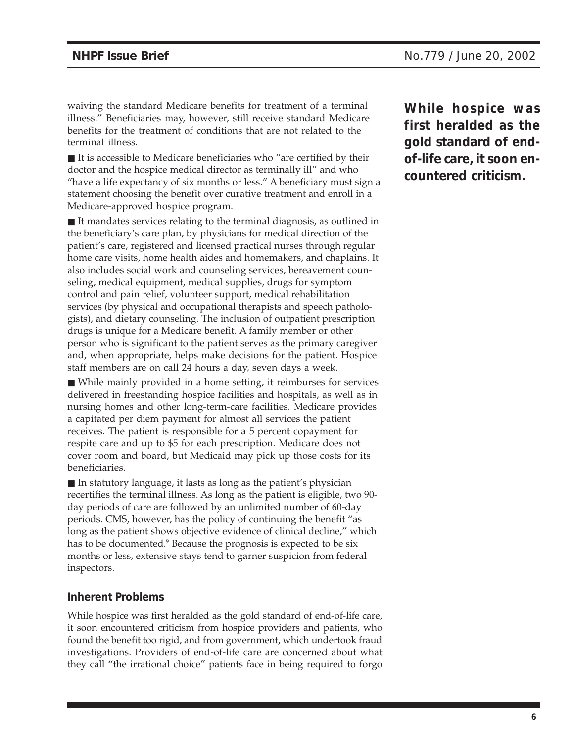waiving the standard Medicare benefits for treatment of a terminal illness." Beneficiaries may, however, still receive standard Medicare benefits for the treatment of conditions that are not related to the terminal illness.

 $\blacksquare$  It is accessible to Medicare beneficiaries who "are certified by their doctor and the hospice medical director as terminally ill" and who "have a life expectancy of six months or less." A beneficiary must sign a statement choosing the benefit over curative treatment and enroll in a Medicare-approved hospice program.

■ It mandates services relating to the terminal diagnosis, as outlined in the beneficiary's care plan, by physicians for medical direction of the patient's care, registered and licensed practical nurses through regular home care visits, home health aides and homemakers, and chaplains. It also includes social work and counseling services, bereavement counseling, medical equipment, medical supplies, drugs for symptom control and pain relief, volunteer support, medical rehabilitation services (by physical and occupational therapists and speech pathologists), and dietary counseling. The inclusion of outpatient prescription drugs is unique for a Medicare benefit. A family member or other person who is significant to the patient serves as the primary caregiver and, when appropriate, helps make decisions for the patient. Hospice staff members are on call 24 hours a day, seven days a week.

■ While mainly provided in a home setting, it reimburses for services delivered in freestanding hospice facilities and hospitals, as well as in nursing homes and other long-term-care facilities. Medicare provides a capitated per diem payment for almost all services the patient receives. The patient is responsible for a 5 percent copayment for respite care and up to \$5 for each prescription. Medicare does not cover room and board, but Medicaid may pick up those costs for its beneficiaries.

■ In statutory language, it lasts as long as the patient's physician recertifies the terminal illness. As long as the patient is eligible, two 90 day periods of care are followed by an unlimited number of 60-day periods. CMS, however, has the policy of continuing the benefit "as long as the patient shows objective evidence of clinical decline," which has to be documented.<sup>9</sup> Because the prognosis is expected to be six months or less, extensive stays tend to garner suspicion from federal inspectors.

### **Inherent Problems**

While hospice was first heralded as the gold standard of end-of-life care, it soon encountered criticism from hospice providers and patients, who found the benefit too rigid, and from government, which undertook fraud investigations. Providers of end-of-life care are concerned about what they call "the irrational choice" patients face in being required to forgo **While hospice was first heralded as the gold standard of endof-life care, it soon encountered criticism.**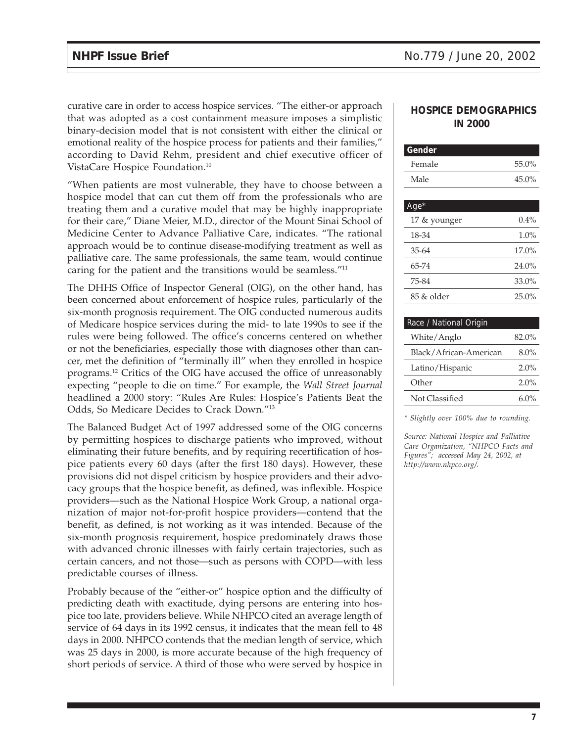curative care in order to access hospice services. "The either-or approach that was adopted as a cost containment measure imposes a simplistic binary-decision model that is not consistent with either the clinical or emotional reality of the hospice process for patients and their families," according to David Rehm, president and chief executive officer of VistaCare Hospice Foundation.10

"When patients are most vulnerable, they have to choose between a hospice model that can cut them off from the professionals who are treating them and a curative model that may be highly inappropriate for their care," Diane Meier, M.D., director of the Mount Sinai School of Medicine Center to Advance Palliative Care, indicates. "The rational approach would be to continue disease-modifying treatment as well as palliative care. The same professionals, the same team, would continue caring for the patient and the transitions would be seamless."11

The DHHS Office of Inspector General (OIG), on the other hand, has been concerned about enforcement of hospice rules, particularly of the six-month prognosis requirement. The OIG conducted numerous audits of Medicare hospice services during the mid- to late 1990s to see if the rules were being followed. The office's concerns centered on whether or not the beneficiaries, especially those with diagnoses other than cancer, met the definition of "terminally ill" when they enrolled in hospice programs.12 Critics of the OIG have accused the office of unreasonably expecting "people to die on time." For example, the *Wall Street Journal* headlined a 2000 story: "Rules Are Rules: Hospice's Patients Beat the Odds, So Medicare Decides to Crack Down."13

The Balanced Budget Act of 1997 addressed some of the OIG concerns by permitting hospices to discharge patients who improved, without eliminating their future benefits, and by requiring recertification of hospice patients every 60 days (after the first 180 days). However, these provisions did not dispel criticism by hospice providers and their advocacy groups that the hospice benefit, as defined, was inflexible. Hospice providers—such as the National Hospice Work Group, a national organization of major not-for-profit hospice providers—contend that the benefit, as defined, is not working as it was intended. Because of the six-month prognosis requirement, hospice predominately draws those with advanced chronic illnesses with fairly certain trajectories, such as certain cancers, and not those—such as persons with COPD—with less predictable courses of illness.

Probably because of the "either-or" hospice option and the difficulty of predicting death with exactitude, dying persons are entering into hospice too late, providers believe. While NHPCO cited an average length of service of 64 days in its 1992 census, it indicates that the mean fell to 48 days in 2000. NHPCO contends that the median length of service, which was 25 days in 2000, is more accurate because of the high frequency of short periods of service. A third of those who were served by hospice in

### **HOSPICE DEMOGRAPHICS IN 2000**

| Gender       |          |
|--------------|----------|
| Female       | 55.0%    |
| Male         | 45.0%    |
|              |          |
| $Age*$       |          |
| 17 & younger | $0.4\%$  |
| 18-34        | 1.0%     |
| $35 - 64$    | $17.0\%$ |
| 65-74        | 24.0%    |
| 75-84        | 33.0%    |
| 85 & older   | 25.0%    |
|              |          |

## Race / National Origin White/Anglo 82.0% Black/African-American 8.0% Latino/Hispanic 2.0% Other 2.0% Not Classified 6.0%

*\* Slightly over 100% due to rounding.*

*Source: National Hospice and Palliative Care Organization, "NHPCO Facts and Figures"; accessed May 24, 2002, at http://www.nhpco.org/.*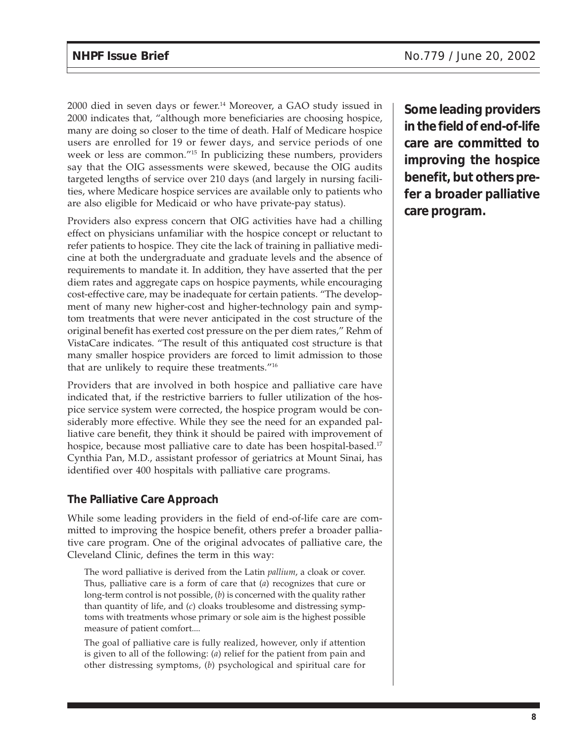2000 died in seven days or fewer.14 Moreover, a GAO study issued in 2000 indicates that, "although more beneficiaries are choosing hospice, many are doing so closer to the time of death. Half of Medicare hospice users are enrolled for 19 or fewer days, and service periods of one week or less are common."15 In publicizing these numbers, providers say that the OIG assessments were skewed, because the OIG audits targeted lengths of service over 210 days (and largely in nursing facilities, where Medicare hospice services are available only to patients who are also eligible for Medicaid or who have private-pay status).

Providers also express concern that OIG activities have had a chilling effect on physicians unfamiliar with the hospice concept or reluctant to refer patients to hospice. They cite the lack of training in palliative medicine at both the undergraduate and graduate levels and the absence of requirements to mandate it. In addition, they have asserted that the per diem rates and aggregate caps on hospice payments, while encouraging cost-effective care, may be inadequate for certain patients. "The development of many new higher-cost and higher-technology pain and symptom treatments that were never anticipated in the cost structure of the original benefit has exerted cost pressure on the per diem rates," Rehm of VistaCare indicates. "The result of this antiquated cost structure is that many smaller hospice providers are forced to limit admission to those that are unlikely to require these treatments."16

Providers that are involved in both hospice and palliative care have indicated that, if the restrictive barriers to fuller utilization of the hospice service system were corrected, the hospice program would be considerably more effective. While they see the need for an expanded palliative care benefit, they think it should be paired with improvement of hospice, because most palliative care to date has been hospital-based.<sup>17</sup> Cynthia Pan, M.D., assistant professor of geriatrics at Mount Sinai, has identified over 400 hospitals with palliative care programs.

### **The Palliative Care Approach**

While some leading providers in the field of end-of-life care are committed to improving the hospice benefit, others prefer a broader palliative care program. One of the original advocates of palliative care, the Cleveland Clinic, defines the term in this way:

The word palliative is derived from the Latin *pallium*, a cloak or cover. Thus, palliative care is a form of care that (*a*) recognizes that cure or long-term control is not possible, (*b*) is concerned with the quality rather than quantity of life, and (*c*) cloaks troublesome and distressing symptoms with treatments whose primary or sole aim is the highest possible measure of patient comfort....

The goal of palliative care is fully realized, however, only if attention is given to all of the following: (*a*) relief for the patient from pain and other distressing symptoms, (*b*) psychological and spiritual care for

**Some leading providers in the field of end-of-life care are committed to improving the hospice benefit, but others prefer a broader palliative care program.**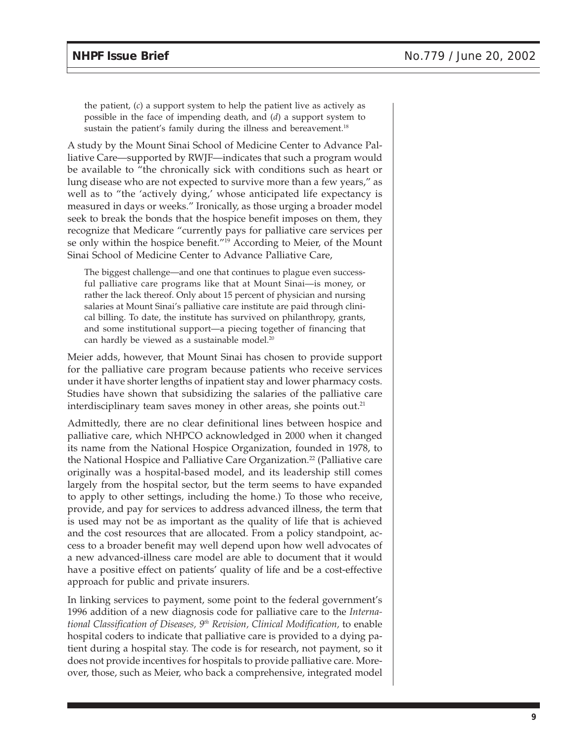the patient, (*c*) a support system to help the patient live as actively as possible in the face of impending death, and (*d*) a support system to sustain the patient's family during the illness and bereavement.<sup>18</sup>

A study by the Mount Sinai School of Medicine Center to Advance Palliative Care—supported by RWJF—indicates that such a program would be available to "the chronically sick with conditions such as heart or lung disease who are not expected to survive more than a few years," as well as to "the 'actively dying,' whose anticipated life expectancy is measured in days or weeks." Ironically, as those urging a broader model seek to break the bonds that the hospice benefit imposes on them, they recognize that Medicare "currently pays for palliative care services per se only within the hospice benefit."19 According to Meier, of the Mount Sinai School of Medicine Center to Advance Palliative Care,

The biggest challenge—and one that continues to plague even successful palliative care programs like that at Mount Sinai—is money, or rather the lack thereof. Only about 15 percent of physician and nursing salaries at Mount Sinai's palliative care institute are paid through clinical billing. To date, the institute has survived on philanthropy, grants, and some institutional support—a piecing together of financing that can hardly be viewed as a sustainable model.<sup>20</sup>

Meier adds, however, that Mount Sinai has chosen to provide support for the palliative care program because patients who receive services under it have shorter lengths of inpatient stay and lower pharmacy costs. Studies have shown that subsidizing the salaries of the palliative care interdisciplinary team saves money in other areas, she points out.<sup>21</sup>

Admittedly, there are no clear definitional lines between hospice and palliative care, which NHPCO acknowledged in 2000 when it changed its name from the National Hospice Organization, founded in 1978, to the National Hospice and Palliative Care Organization.<sup>22</sup> (Palliative care originally was a hospital-based model, and its leadership still comes largely from the hospital sector, but the term seems to have expanded to apply to other settings, including the home.) To those who receive, provide, and pay for services to address advanced illness, the term that is used may not be as important as the quality of life that is achieved and the cost resources that are allocated. From a policy standpoint, access to a broader benefit may well depend upon how well advocates of a new advanced-illness care model are able to document that it would have a positive effect on patients' quality of life and be a cost-effective approach for public and private insurers.

In linking services to payment, some point to the federal government's 1996 addition of a new diagnosis code for palliative care to the *International Classification of Diseases, 9th Revision, Clinical Modification,* to enable hospital coders to indicate that palliative care is provided to a dying patient during a hospital stay. The code is for research, not payment, so it does not provide incentives for hospitals to provide palliative care. Moreover, those, such as Meier, who back a comprehensive, integrated model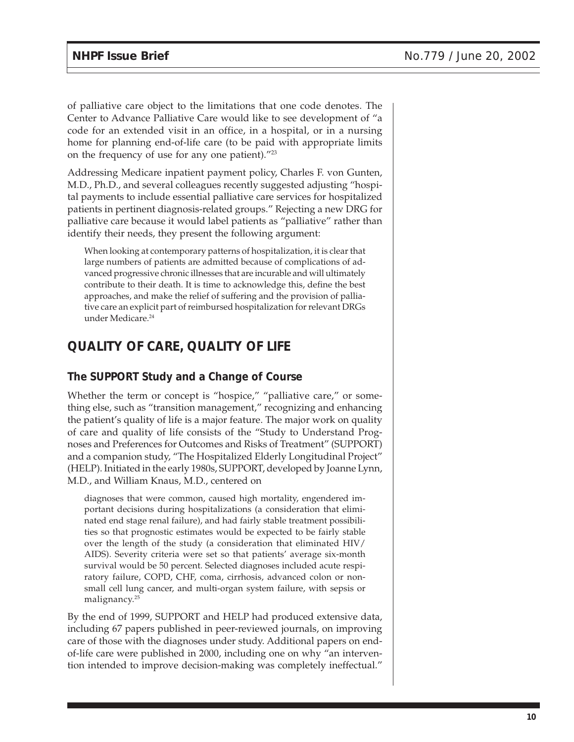of palliative care object to the limitations that one code denotes. The Center to Advance Palliative Care would like to see development of "a code for an extended visit in an office, in a hospital, or in a nursing home for planning end-of-life care (to be paid with appropriate limits on the frequency of use for any one patient)."23

Addressing Medicare inpatient payment policy, Charles F. von Gunten, M.D., Ph.D., and several colleagues recently suggested adjusting "hospital payments to include essential palliative care services for hospitalized patients in pertinent diagnosis-related groups." Rejecting a new DRG for palliative care because it would label patients as "palliative" rather than identify their needs, they present the following argument:

When looking at contemporary patterns of hospitalization, it is clear that large numbers of patients are admitted because of complications of advanced progressive chronic illnesses that are incurable and will ultimately contribute to their death. It is time to acknowledge this, define the best approaches, and make the relief of suffering and the provision of palliative care an explicit part of reimbursed hospitalization for relevant DRGs under Medicare.24

# **QUALITY OF CARE, QUALITY OF LIFE**

### **The SUPPORT Study and a Change of Course**

Whether the term or concept is "hospice," "palliative care," or something else, such as "transition management," recognizing and enhancing the patient's quality of life is a major feature. The major work on quality of care and quality of life consists of the "Study to Understand Prognoses and Preferences for Outcomes and Risks of Treatment" (SUPPORT) and a companion study, "The Hospitalized Elderly Longitudinal Project" (HELP). Initiated in the early 1980s, SUPPORT, developed by Joanne Lynn, M.D., and William Knaus, M.D., centered on

diagnoses that were common, caused high mortality, engendered important decisions during hospitalizations (a consideration that eliminated end stage renal failure), and had fairly stable treatment possibilities so that prognostic estimates would be expected to be fairly stable over the length of the study (a consideration that eliminated HIV/ AIDS). Severity criteria were set so that patients' average six-month survival would be 50 percent. Selected diagnoses included acute respiratory failure, COPD, CHF, coma, cirrhosis, advanced colon or nonsmall cell lung cancer, and multi-organ system failure, with sepsis or malignancy.<sup>25</sup>

By the end of 1999, SUPPORT and HELP had produced extensive data, including 67 papers published in peer-reviewed journals, on improving care of those with the diagnoses under study. Additional papers on endof-life care were published in 2000, including one on why "an intervention intended to improve decision-making was completely ineffectual."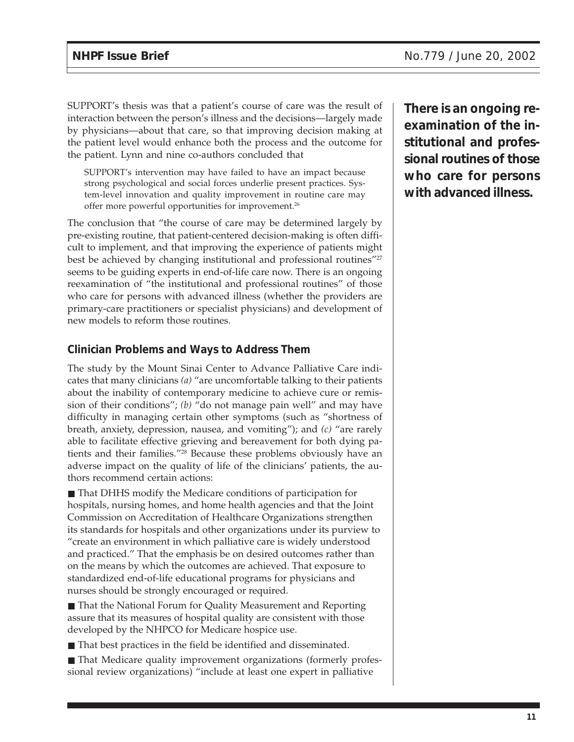SUPPORT's thesis was that a patient's course of care was the result of interaction between the person's illness and the decisions—largely made by physicians—about that care, so that improving decision making at the patient level would enhance both the process and the outcome for the patient. Lynn and nine co-authors concluded that

SUPPORT's intervention may have failed to have an impact because strong psychological and social forces underlie present practices. System-level innovation and quality improvement in routine care may offer more powerful opportunities for improvement.<sup>26</sup>

The conclusion that "the course of care may be determined largely by pre-existing routine, that patient-centered decision-making is often difficult to implement, and that improving the experience of patients might best be achieved by changing institutional and professional routines"<sup>27</sup> seems to be guiding experts in end-of-life care now. There is an ongoing reexamination of "the institutional and professional routines" of those who care for persons with advanced illness (whether the providers are primary-care practitioners or specialist physicians) and development of new models to reform those routines.

### **Clinician Problems and Ways to Address Them**

The study by the Mount Sinai Center to Advance Palliative Care indicates that many clinicians *(a)* "are uncomfortable talking to their patients about the inability of contemporary medicine to achieve cure or remission of their conditions"; *(b)* "do not manage pain well" and may have difficulty in managing certain other symptoms (such as "shortness of breath, anxiety, depression, nausea, and vomiting"); and *(c)* "are rarely able to facilitate effective grieving and bereavement for both dying patients and their families."28 Because these problems obviously have an adverse impact on the quality of life of the clinicians' patients, the authors recommend certain actions:

■ That DHHS modify the Medicare conditions of participation for hospitals, nursing homes, and home health agencies and that the Joint Commission on Accreditation of Healthcare Organizations strengthen its standards for hospitals and other organizations under its purview to "create an environment in which palliative care is widely understood and practiced." That the emphasis be on desired outcomes rather than on the means by which the outcomes are achieved. That exposure to standardized end-of-life educational programs for physicians and nurses should be strongly encouraged or required.

■ That the National Forum for Quality Measurement and Reporting assure that its measures of hospital quality are consistent with those developed by the NHPCO for Medicare hospice use.

■ That best practices in the field be identified and disseminated.

■ That Medicare quality improvement organizations (formerly professional review organizations) "include at least one expert in palliative

**There is an ongoing reexamination of the institutional and professional routines of those who care for persons with advanced illness.**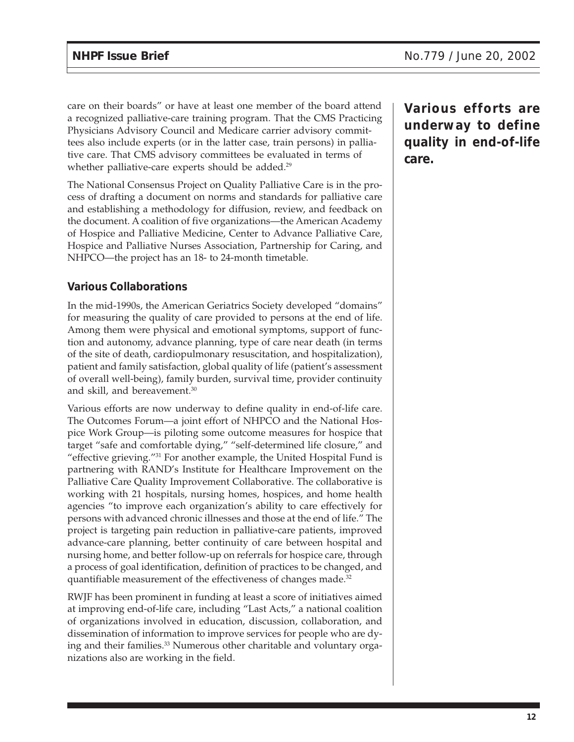care on their boards" or have at least one member of the board attend a recognized palliative-care training program. That the CMS Practicing Physicians Advisory Council and Medicare carrier advisory committees also include experts (or in the latter case, train persons) in palliative care. That CMS advisory committees be evaluated in terms of whether palliative-care experts should be added.<sup>29</sup>

The National Consensus Project on Quality Palliative Care is in the process of drafting a document on norms and standards for palliative care and establishing a methodology for diffusion, review, and feedback on the document. A coalition of five organizations—the American Academy of Hospice and Palliative Medicine, Center to Advance Palliative Care, Hospice and Palliative Nurses Association, Partnership for Caring, and NHPCO—the project has an 18- to 24-month timetable.

## **Various Collaborations**

In the mid-1990s, the American Geriatrics Society developed "domains" for measuring the quality of care provided to persons at the end of life. Among them were physical and emotional symptoms, support of function and autonomy, advance planning, type of care near death (in terms of the site of death, cardiopulmonary resuscitation, and hospitalization), patient and family satisfaction, global quality of life (patient's assessment of overall well-being), family burden, survival time, provider continuity and skill, and bereavement.<sup>30</sup>

Various efforts are now underway to define quality in end-of-life care. The Outcomes Forum—a joint effort of NHPCO and the National Hospice Work Group—is piloting some outcome measures for hospice that target "safe and comfortable dying," "self-determined life closure," and "effective grieving."31 For another example, the United Hospital Fund is partnering with RAND's Institute for Healthcare Improvement on the Palliative Care Quality Improvement Collaborative. The collaborative is working with 21 hospitals, nursing homes, hospices, and home health agencies "to improve each organization's ability to care effectively for persons with advanced chronic illnesses and those at the end of life." The project is targeting pain reduction in palliative-care patients, improved advance-care planning, better continuity of care between hospital and nursing home, and better follow-up on referrals for hospice care, through a process of goal identification, definition of practices to be changed, and quantifiable measurement of the effectiveness of changes made.<sup>32</sup>

RWJF has been prominent in funding at least a score of initiatives aimed at improving end-of-life care, including "Last Acts," a national coalition of organizations involved in education, discussion, collaboration, and dissemination of information to improve services for people who are dying and their families.<sup>33</sup> Numerous other charitable and voluntary organizations also are working in the field.

**Various efforts are underway to define quality in end-of-life care.**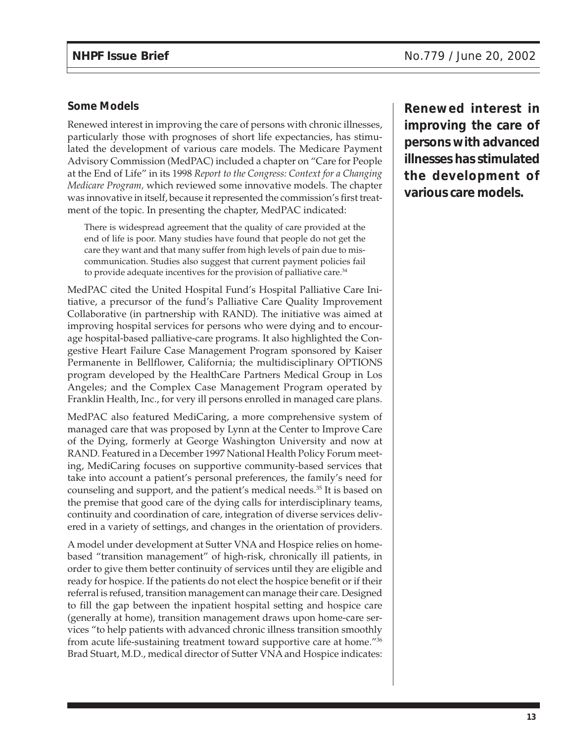### **Some Models**

Renewed interest in improving the care of persons with chronic illnesses, particularly those with prognoses of short life expectancies, has stimulated the development of various care models. The Medicare Payment Advisory Commission (MedPAC) included a chapter on "Care for People at the End of Life" in its 1998 *Report to the Congress: Context for a Changing Medicare Program,* which reviewed some innovative models. The chapter was innovative in itself, because it represented the commission's first treatment of the topic. In presenting the chapter, MedPAC indicated:

There is widespread agreement that the quality of care provided at the end of life is poor. Many studies have found that people do not get the care they want and that many suffer from high levels of pain due to miscommunication. Studies also suggest that current payment policies fail to provide adequate incentives for the provision of palliative care.<sup>34</sup>

MedPAC cited the United Hospital Fund's Hospital Palliative Care Initiative, a precursor of the fund's Palliative Care Quality Improvement Collaborative (in partnership with RAND). The initiative was aimed at improving hospital services for persons who were dying and to encourage hospital-based palliative-care programs. It also highlighted the Congestive Heart Failure Case Management Program sponsored by Kaiser Permanente in Bellflower, California; the multidisciplinary OPTIONS program developed by the HealthCare Partners Medical Group in Los Angeles; and the Complex Case Management Program operated by Franklin Health, Inc., for very ill persons enrolled in managed care plans.

MedPAC also featured MediCaring, a more comprehensive system of managed care that was proposed by Lynn at the Center to Improve Care of the Dying, formerly at George Washington University and now at RAND. Featured in a December 1997 National Health Policy Forum meeting, MediCaring focuses on supportive community-based services that take into account a patient's personal preferences, the family's need for counseling and support, and the patient's medical needs.35 It is based on the premise that good care of the dying calls for interdisciplinary teams, continuity and coordination of care, integration of diverse services delivered in a variety of settings, and changes in the orientation of providers.

A model under development at Sutter VNA and Hospice relies on homebased "transition management" of high-risk, chronically ill patients, in order to give them better continuity of services until they are eligible and ready for hospice. If the patients do not elect the hospice benefit or if their referral is refused, transition management can manage their care. Designed to fill the gap between the inpatient hospital setting and hospice care (generally at home), transition management draws upon home-care services "to help patients with advanced chronic illness transition smoothly from acute life-sustaining treatment toward supportive care at home."36 Brad Stuart, M.D., medical director of Sutter VNA and Hospice indicates:

**Renewed interest in improving the care of persons with advanced illnesses has stimulated the development of various care models.**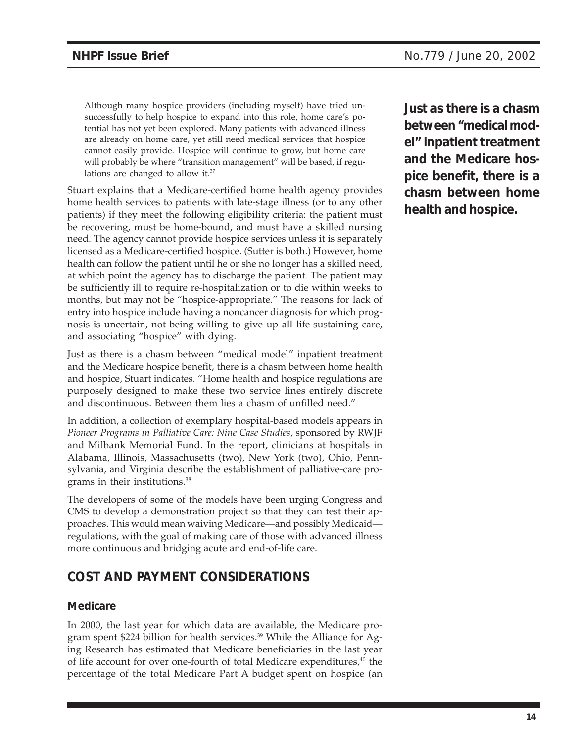Although many hospice providers (including myself) have tried unsuccessfully to help hospice to expand into this role, home care's potential has not yet been explored. Many patients with advanced illness are already on home care, yet still need medical services that hospice cannot easily provide. Hospice will continue to grow, but home care will probably be where "transition management" will be based, if regulations are changed to allow it.37

Stuart explains that a Medicare-certified home health agency provides home health services to patients with late-stage illness (or to any other patients) if they meet the following eligibility criteria: the patient must be recovering, must be home-bound, and must have a skilled nursing need. The agency cannot provide hospice services unless it is separately licensed as a Medicare-certified hospice. (Sutter is both.) However, home health can follow the patient until he or she no longer has a skilled need, at which point the agency has to discharge the patient. The patient may be sufficiently ill to require re-hospitalization or to die within weeks to months, but may not be "hospice-appropriate." The reasons for lack of entry into hospice include having a noncancer diagnosis for which prognosis is uncertain, not being willing to give up all life-sustaining care, and associating "hospice" with dying.

Just as there is a chasm between "medical model" inpatient treatment and the Medicare hospice benefit, there is a chasm between home health and hospice, Stuart indicates. "Home health and hospice regulations are purposely designed to make these two service lines entirely discrete and discontinuous. Between them lies a chasm of unfilled need."

In addition, a collection of exemplary hospital-based models appears in *Pioneer Programs in Palliative Care: Nine Case Studies*, sponsored by RWJF and Milbank Memorial Fund. In the report, clinicians at hospitals in Alabama, Illinois, Massachusetts (two), New York (two), Ohio, Pennsylvania, and Virginia describe the establishment of palliative-care programs in their institutions.38

The developers of some of the models have been urging Congress and CMS to develop a demonstration project so that they can test their approaches. This would mean waiving Medicare—and possibly Medicaid regulations, with the goal of making care of those with advanced illness more continuous and bridging acute and end-of-life care.

# **COST AND PAYMENT CONSIDERATIONS**

### **Medicare**

In 2000, the last year for which data are available, the Medicare program spent \$224 billion for health services.<sup>39</sup> While the Alliance for Aging Research has estimated that Medicare beneficiaries in the last year of life account for over one-fourth of total Medicare expenditures,<sup>40</sup> the percentage of the total Medicare Part A budget spent on hospice (an **Just as there is a chasm between "medical model" inpatient treatment and the Medicare hospice benefit, there is a chasm between home health and hospice.**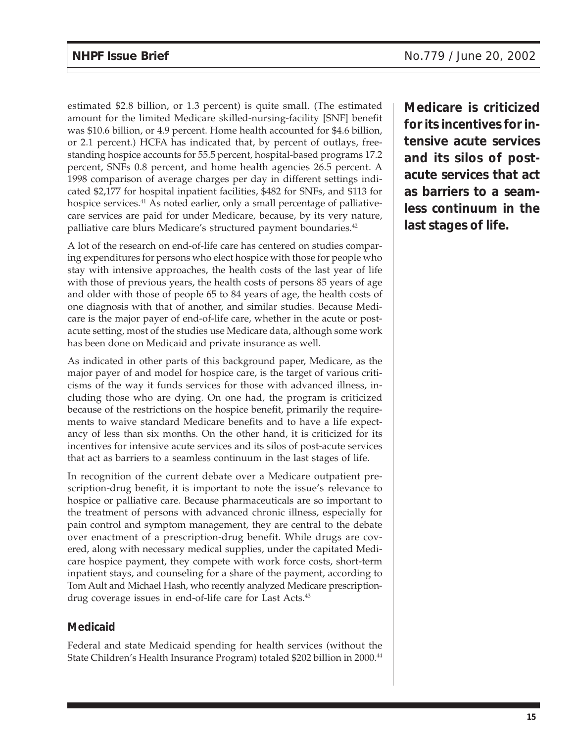estimated \$2.8 billion, or 1.3 percent) is quite small. (The estimated amount for the limited Medicare skilled-nursing-facility [SNF] benefit was \$10.6 billion, or 4.9 percent. Home health accounted for \$4.6 billion, or 2.1 percent.) HCFA has indicated that, by percent of outlays, freestanding hospice accounts for 55.5 percent, hospital-based programs 17.2 percent, SNFs 0.8 percent, and home health agencies 26.5 percent. A 1998 comparison of average charges per day in different settings indicated \$2,177 for hospital inpatient facilities, \$482 for SNFs, and \$113 for hospice services.<sup>41</sup> As noted earlier, only a small percentage of palliativecare services are paid for under Medicare, because, by its very nature, palliative care blurs Medicare's structured payment boundaries.<sup>42</sup>

A lot of the research on end-of-life care has centered on studies comparing expenditures for persons who elect hospice with those for people who stay with intensive approaches, the health costs of the last year of life with those of previous years, the health costs of persons 85 years of age and older with those of people 65 to 84 years of age, the health costs of one diagnosis with that of another, and similar studies. Because Medicare is the major payer of end-of-life care, whether in the acute or postacute setting, most of the studies use Medicare data, although some work has been done on Medicaid and private insurance as well.

As indicated in other parts of this background paper, Medicare, as the major payer of and model for hospice care, is the target of various criticisms of the way it funds services for those with advanced illness, including those who are dying. On one had, the program is criticized because of the restrictions on the hospice benefit, primarily the requirements to waive standard Medicare benefits and to have a life expectancy of less than six months. On the other hand, it is criticized for its incentives for intensive acute services and its silos of post-acute services that act as barriers to a seamless continuum in the last stages of life.

In recognition of the current debate over a Medicare outpatient prescription-drug benefit, it is important to note the issue's relevance to hospice or palliative care. Because pharmaceuticals are so important to the treatment of persons with advanced chronic illness, especially for pain control and symptom management, they are central to the debate over enactment of a prescription-drug benefit. While drugs are covered, along with necessary medical supplies, under the capitated Medicare hospice payment, they compete with work force costs, short-term inpatient stays, and counseling for a share of the payment, according to Tom Ault and Michael Hash, who recently analyzed Medicare prescriptiondrug coverage issues in end-of-life care for Last Acts.<sup>43</sup>

### **Medicaid**

Federal and state Medicaid spending for health services (without the State Children's Health Insurance Program) totaled \$202 billion in 2000.<sup>44</sup>

**Medicare is criticized for its incentives for intensive acute services and its silos of postacute services that act as barriers to a seamless continuum in the last stages of life.**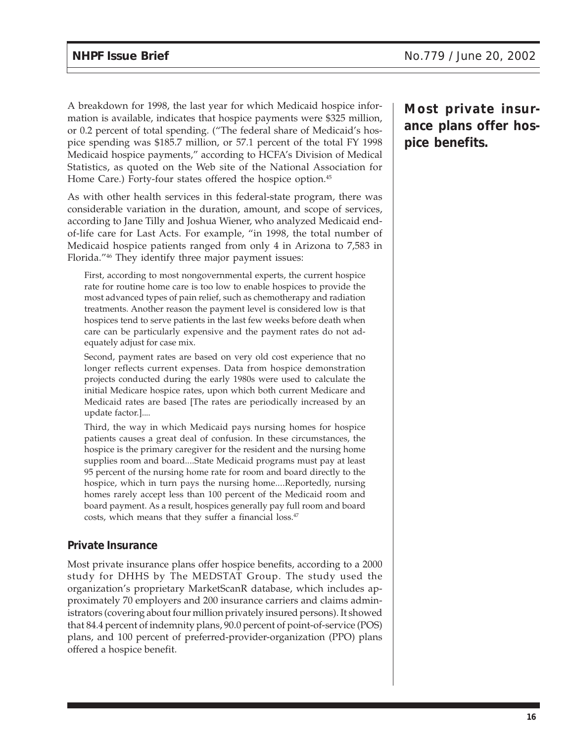A breakdown for 1998, the last year for which Medicaid hospice information is available, indicates that hospice payments were \$325 million, or 0.2 percent of total spending. ("The federal share of Medicaid's hospice spending was \$185.7 million, or 57.1 percent of the total FY 1998 Medicaid hospice payments," according to HCFA's Division of Medical Statistics, as quoted on the Web site of the National Association for Home Care.) Forty-four states offered the hospice option.<sup>45</sup>

As with other health services in this federal-state program, there was considerable variation in the duration, amount, and scope of services, according to Jane Tilly and Joshua Wiener, who analyzed Medicaid endof-life care for Last Acts. For example, "in 1998, the total number of Medicaid hospice patients ranged from only 4 in Arizona to 7,583 in Florida."46 They identify three major payment issues:

First, according to most nongovernmental experts, the current hospice rate for routine home care is too low to enable hospices to provide the most advanced types of pain relief, such as chemotherapy and radiation treatments. Another reason the payment level is considered low is that hospices tend to serve patients in the last few weeks before death when care can be particularly expensive and the payment rates do not adequately adjust for case mix.

Second, payment rates are based on very old cost experience that no longer reflects current expenses. Data from hospice demonstration projects conducted during the early 1980s were used to calculate the initial Medicare hospice rates, upon which both current Medicare and Medicaid rates are based [The rates are periodically increased by an update factor.]....

Third, the way in which Medicaid pays nursing homes for hospice patients causes a great deal of confusion. In these circumstances, the hospice is the primary caregiver for the resident and the nursing home supplies room and board....State Medicaid programs must pay at least 95 percent of the nursing home rate for room and board directly to the hospice, which in turn pays the nursing home....Reportedly, nursing homes rarely accept less than 100 percent of the Medicaid room and board payment. As a result, hospices generally pay full room and board costs, which means that they suffer a financial loss.<sup>47</sup>

### **Private Insurance**

Most private insurance plans offer hospice benefits, according to a 2000 study for DHHS by The MEDSTAT Group. The study used the organization's proprietary MarketScanR database, which includes approximately 70 employers and 200 insurance carriers and claims administrators (covering about four million privately insured persons). It showed that 84.4 percent of indemnity plans, 90.0 percent of point-of-service (POS) plans, and 100 percent of preferred-provider-organization (PPO) plans offered a hospice benefit.

**Most private insurance plans offer hospice benefits.**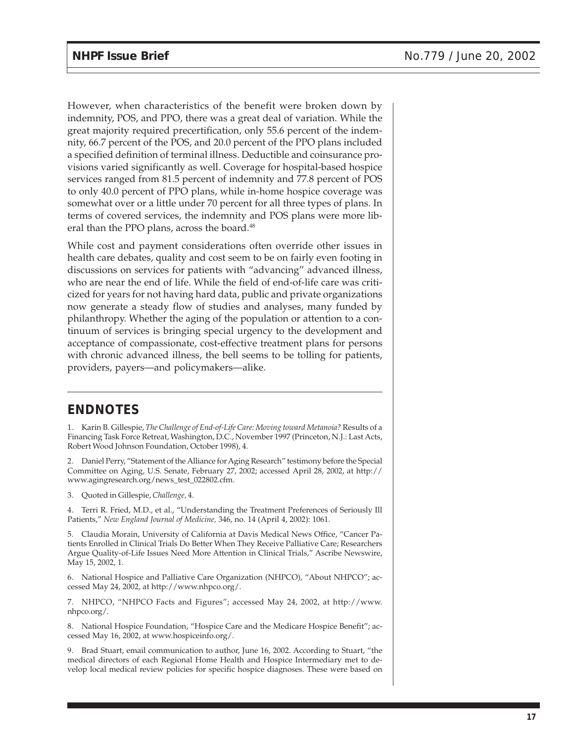However, when characteristics of the benefit were broken down by indemnity, POS, and PPO, there was a great deal of variation. While the great majority required precertification, only 55.6 percent of the indemnity, 66.7 percent of the POS, and 20.0 percent of the PPO plans included a specified definition of terminal illness. Deductible and coinsurance provisions varied significantly as well. Coverage for hospital-based hospice services ranged from 81.5 percent of indemnity and 77.8 percent of POS to only 40.0 percent of PPO plans, while in-home hospice coverage was somewhat over or a little under 70 percent for all three types of plans. In terms of covered services, the indemnity and POS plans were more liberal than the PPO plans, across the board.<sup>48</sup>

While cost and payment considerations often override other issues in health care debates, quality and cost seem to be on fairly even footing in discussions on services for patients with "advancing" advanced illness, who are near the end of life. While the field of end-of-life care was criticized for years for not having hard data, public and private organizations now generate a steady flow of studies and analyses, many funded by philanthropy. Whether the aging of the population or attention to a continuum of services is bringing special urgency to the development and acceptance of compassionate, cost-effective treatment plans for persons with chronic advanced illness, the bell seems to be tolling for patients, providers, payers—and policymakers—alike.

## **ENDNOTES**

1. Karin B. Gillespie, *The Challenge of End-of-Life Care: Moving toward Metanoia?* Results of a Financing Task Force Retreat, Washington, D.C., November 1997 (Princeton, N.J.: Last Acts, Robert Wood Johnson Foundation, October 1998), 4.

2. Daniel Perry, "Statement of the Alliance for Aging Research" testimony before the Special Committee on Aging, U.S. Senate, February 27, 2002; accessed April 28, 2002, at http:// www.agingresearch.org/news\_test\_022802.cfm.

3. Quoted in Gillespie, *Challenge,* 4.

4. Terri R. Fried, M.D., et al., "Understanding the Treatment Preferences of Seriously Ill Patients," *New England Journal of Medicine,* 346, no. 14 (April 4, 2002): 1061.

5. Claudia Morain, University of California at Davis Medical News Office, "Cancer Patients Enrolled in Clinical Trials Do Better When They Receive Palliative Care; Researchers Argue Quality-of-Life Issues Need More Attention in Clinical Trials," Ascribe Newswire, May 15, 2002, 1.

6. National Hospice and Palliative Care Organization (NHPCO), "About NHPCO"; accessed May 24, 2002, at http://www.nhpco.org/.

7. NHPCO, "NHPCO Facts and Figures"; accessed May 24, 2002, at http://www. nhpco.org/.

8. National Hospice Foundation, "Hospice Care and the Medicare Hospice Benefit"; accessed May 16, 2002, at www.hospiceinfo.org/.

9. Brad Stuart, email communication to author, June 16, 2002. According to Stuart, "the medical directors of each Regional Home Health and Hospice Intermediary met to develop local medical review policies for specific hospice diagnoses. These were based on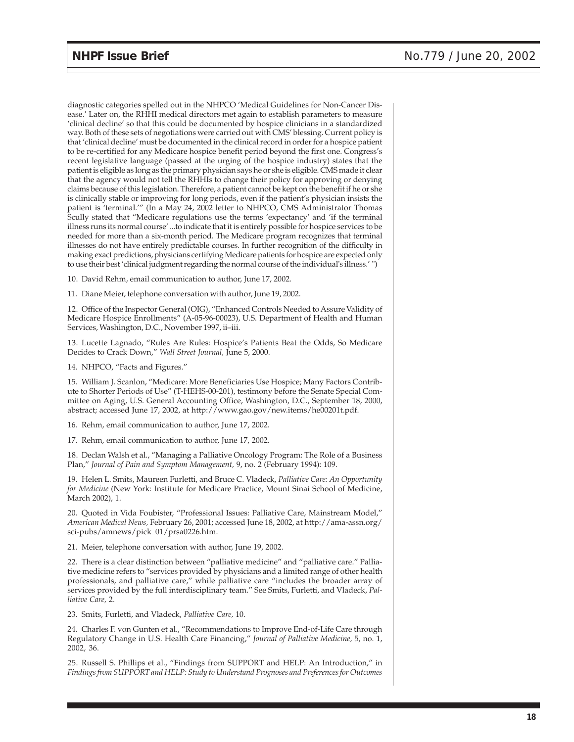diagnostic categories spelled out in the NHPCO 'Medical Guidelines for Non-Cancer Disease.' Later on, the RHHI medical directors met again to establish parameters to measure 'clinical decline' so that this could be documented by hospice clinicians in a standardized way. Both of these sets of negotiations were carried out with CMS' blessing. Current policy is that 'clinical decline' must be documented in the clinical record in order for a hospice patient to be re-certified for any Medicare hospice benefit period beyond the first one. Congress's recent legislative language (passed at the urging of the hospice industry) states that the patient is eligible as long as the primary physician says he or she is eligible. CMS made it clear that the agency would not tell the RHHIs to change their policy for approving or denying claims because of this legislation. Therefore, a patient cannot be kept on the benefit if he or she is clinically stable or improving for long periods, even if the patient's physician insists the patient is 'terminal.'" (In a May 24, 2002 letter to NHPCO, CMS Administrator Thomas Scully stated that "Medicare regulations use the terms 'expectancy' and 'if the terminal illness runs its normal course' ...to indicate that it is entirely possible for hospice services to be needed for more than a six-month period. The Medicare program recognizes that terminal illnesses do not have entirely predictable courses. In further recognition of the difficulty in making exact predictions, physicians certifying Medicare patients for hospice are expected only to use their best 'clinical judgment regarding the normal course of the individual's illness.' ")

10. David Rehm, email communication to author, June 17, 2002.

11. Diane Meier, telephone conversation with author, June 19, 2002.

12. Office of the Inspector General (OIG), "Enhanced Controls Needed to Assure Validity of Medicare Hospice Enrollments" (A-05-96-00023), U.S. Department of Health and Human Services, Washington, D.C., November 1997, ii–iii.

13. Lucette Lagnado, "Rules Are Rules: Hospice's Patients Beat the Odds, So Medicare Decides to Crack Down," *Wall Street Journal,* June 5, 2000.

14. NHPCO, "Facts and Figures."

15. William J. Scanlon, "Medicare: More Beneficiaries Use Hospice; Many Factors Contribute to Shorter Periods of Use" (T-HEHS-00-201), testimony before the Senate Special Committee on Aging, U.S. General Accounting Office, Washington, D.C., September 18, 2000, abstract; accessed June 17, 2002, at http://www.gao.gov/new.items/he00201t.pdf.

16. Rehm, email communication to author, June 17, 2002.

17. Rehm, email communication to author, June 17, 2002.

18. Declan Walsh et al., "Managing a Palliative Oncology Program: The Role of a Business Plan," *Journal of Pain and Symptom Management,* 9, no. 2 (February 1994): 109.

19. Helen L. Smits, Maureen Furletti, and Bruce C. Vladeck, *Palliative Care: An Opportunity for Medicine* (New York: Institute for Medicare Practice, Mount Sinai School of Medicine, March 2002), 1.

20. Quoted in Vida Foubister, "Professional Issues: Palliative Care, Mainstream Model," *American Medical News,* February 26, 2001; accessed June 18, 2002, at http://ama-assn.org/ sci-pubs/amnews/pick\_01/prsa0226.htm.

21. Meier, telephone conversation with author, June 19, 2002.

22. There is a clear distinction between "palliative medicine" and "palliative care." Palliative medicine refers to "services provided by physicians and a limited range of other health professionals, and palliative care," while palliative care "includes the broader array of services provided by the full interdisciplinary team." See Smits, Furletti, and Vladeck, *Palliative Care,* 2.

23. Smits, Furletti, and Vladeck, *Palliative Care,* 10.

24. Charles F. von Gunten et al., "Recommendations to Improve End-of-Life Care through Regulatory Change in U.S. Health Care Financing," *Journal of Palliative Medicine,* 5, no. 1, 2002, 36.

25. Russell S. Phillips et al., "Findings from SUPPORT and HELP: An Introduction," in *Findings from SUPPORT and HELP: Study to Understand Prognoses and Preferences for Outcomes*